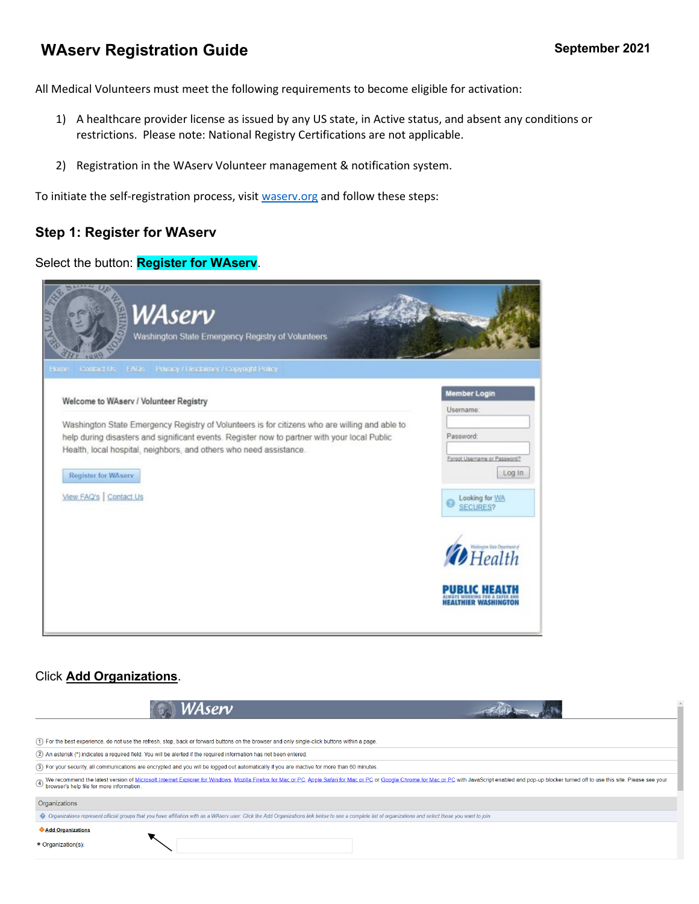## **WAserv Registration Guide September 2021**

All Medical Volunteers must meet the following requirements to become eligible for activation:

- 1) A healthcare provider license as issued by any US state, in Active status, and absent any conditions or restrictions. Please note: National Registry Certifications are not applicable.
- 2) Registration in the WAserv Volunteer management & notification system.

To initiate the self-registration process, visit [waserv.org](http://www.waserv.org/) and follow these steps:

### **Step 1: Register for WAserv**

#### Select the button: **Register for WAserv**.



### Click **Add Organizations**.

| WAserv                                                                                                                                                                                                                                                                      |  |
|-----------------------------------------------------------------------------------------------------------------------------------------------------------------------------------------------------------------------------------------------------------------------------|--|
| (1) For the best experience, do not use the refresh, stop, back or forward buttons on the browser and only single-click buttons within a page.                                                                                                                              |  |
| (2) An asterisk (*) indicates a required field. You will be alerted if the required information has not been entered.                                                                                                                                                       |  |
| (3) For your security, all communications are encrypted and you will be logged out automatically if you are inactive for more than 60 minutes.                                                                                                                              |  |
| We recommend the latest version of Microsoft Internet Explorer for Windows, Mozilla Firefox for Mac or PC, Apple Safari for Mac or PC or Google Chrome for Mac or PC with JavaScript enabled and pop-up blocker turned off to<br>(4) We recommend the ratest version of the |  |
| Organizations                                                                                                                                                                                                                                                               |  |
| Organizations represent official groups that you have affiliation with as a WAserv user. Click the Add Organizations link below to see a complete list of organizations and select those you want to join.                                                                  |  |
| Add Organizations<br>* Organization(s):                                                                                                                                                                                                                                     |  |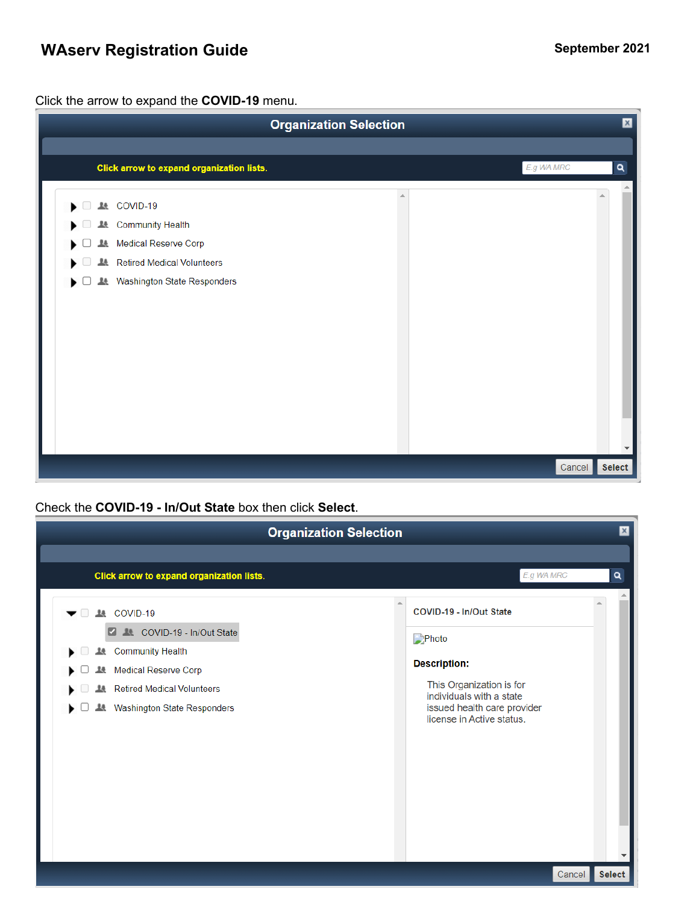# **WAserv Registration Guide September September 2021**

Click the arrow to expand the **COVID-19** menu.

| <b>Organization Selection</b>                                                                                                                                     | $\mathsf{x}$                          |
|-------------------------------------------------------------------------------------------------------------------------------------------------------------------|---------------------------------------|
|                                                                                                                                                                   |                                       |
| Click arrow to expand organization lists.                                                                                                                         | $\overline{\mathbf{q}}$<br>E.g WA MRC |
| LL COVID-19<br><b>Community Health</b><br>ᅭ<br>Medical Reserve Corp<br>1ł.<br><b>Retired Medical Volunteers</b><br>1ł.<br><b>Washington State Responders</b><br>▶ |                                       |
|                                                                                                                                                                   | Cancel<br>Select                      |

### Check the **COVID-19 - In/Out State** box then click **Select**.

|                                                                                                                                                                               | <b>Organization Selection</b>                                                                                                                                               |
|-------------------------------------------------------------------------------------------------------------------------------------------------------------------------------|-----------------------------------------------------------------------------------------------------------------------------------------------------------------------------|
| Click arrow to expand organization lists.                                                                                                                                     | E.g WA MRC<br>۹                                                                                                                                                             |
| <b>ALCOVID-19</b><br>LL COVID-19 - In/Out State<br><b>Community Health</b><br><b>Medical Reserve Corp</b><br><b>Retired Medical Volunteers</b><br>Washington State Responders | COVID-19 - In/Out State<br>Photo<br><b>Description:</b><br>This Organization is for<br>individuals with a state<br>issued health care provider<br>license in Active status. |
|                                                                                                                                                                               | Select<br>Cancel                                                                                                                                                            |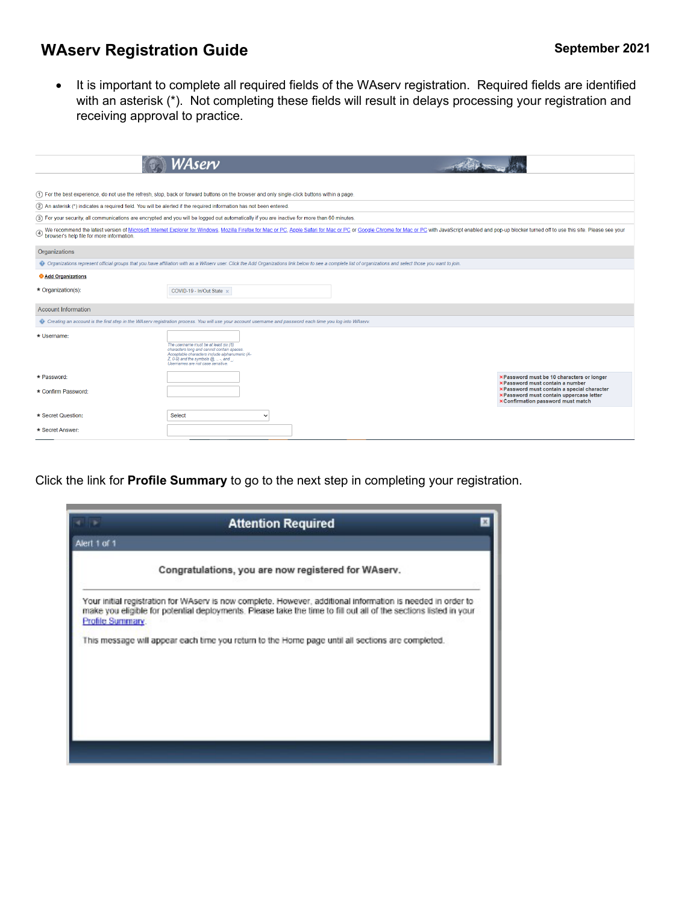# **WAserv Registration Guide September September 2021**

• It is important to complete all required fields of the WAserv registration. Required fields are identified with an asterisk (\*). Not completing these fields will result in delays processing your registration and receiving approval to practice.

|                                                                                                                       | WAserv                                                                                                                                                                                                                   |                                                                                                                                                                                                                                |                                                                                                                                     |
|-----------------------------------------------------------------------------------------------------------------------|--------------------------------------------------------------------------------------------------------------------------------------------------------------------------------------------------------------------------|--------------------------------------------------------------------------------------------------------------------------------------------------------------------------------------------------------------------------------|-------------------------------------------------------------------------------------------------------------------------------------|
|                                                                                                                       |                                                                                                                                                                                                                          |                                                                                                                                                                                                                                |                                                                                                                                     |
|                                                                                                                       | (1) For the best experience, do not use the refresh, stop, back or forward buttons on the browser and only single-click buttons within a page.                                                                           |                                                                                                                                                                                                                                |                                                                                                                                     |
| (2) An asterisk (*) indicates a required field. You will be alerted if the required information has not been entered. |                                                                                                                                                                                                                          |                                                                                                                                                                                                                                |                                                                                                                                     |
|                                                                                                                       | 3) For your security, all communications are encrypted and you will be logged out automatically if you are inactive for more than 60 minutes.                                                                            |                                                                                                                                                                                                                                |                                                                                                                                     |
|                                                                                                                       |                                                                                                                                                                                                                          | @ We recommend the latest version of Microsoft Internet Explorer for Windows, Mozilla Firefox for Mac or PC, Apple Safari for Mac or PC or Google Chrome for Mac or PC with JavaScript enabled and pop-up blocker turned off t |                                                                                                                                     |
| Organizations                                                                                                         |                                                                                                                                                                                                                          |                                                                                                                                                                                                                                |                                                                                                                                     |
|                                                                                                                       | Organizations represent official groups that you have affiliation with as a WAserv user. Click the Add Organizations link below to see a complete list of organizations and select those you want to join.               |                                                                                                                                                                                                                                |                                                                                                                                     |
| Add Organizations                                                                                                     |                                                                                                                                                                                                                          |                                                                                                                                                                                                                                |                                                                                                                                     |
| * Organization(s):                                                                                                    | COVID-19 - In/Out State x                                                                                                                                                                                                |                                                                                                                                                                                                                                |                                                                                                                                     |
| <b>Account Information</b>                                                                                            |                                                                                                                                                                                                                          |                                                                                                                                                                                                                                |                                                                                                                                     |
|                                                                                                                       | Creating an account is the first step in the WAserv registration process. You will use your account usemame and password each time you log into WAserv.                                                                  |                                                                                                                                                                                                                                |                                                                                                                                     |
| * Username:                                                                                                           | The username must be at least six (6)<br>characters long and cannot contain spaces.<br>Acceptable characters include alphanumeric (A-<br>$Z$ , 0-9) and the symbols $@$ , $-$ , and<br>Usernames are not case sensitive. |                                                                                                                                                                                                                                |                                                                                                                                     |
| * Password:                                                                                                           |                                                                                                                                                                                                                          |                                                                                                                                                                                                                                | x Password must be 10 characters or longer<br><b>×Password must contain a number</b>                                                |
| * Confirm Password:                                                                                                   |                                                                                                                                                                                                                          |                                                                                                                                                                                                                                | x Password must contain a special character<br>x Password must contain uppercase letter<br><b>×Confirmation password must match</b> |
| * Secret Question:                                                                                                    | Select<br>$\check{ }$                                                                                                                                                                                                    |                                                                                                                                                                                                                                |                                                                                                                                     |
| * Secret Answer:                                                                                                      |                                                                                                                                                                                                                          |                                                                                                                                                                                                                                |                                                                                                                                     |

### Click the link for **Profile Summary** to go to the next step in completing your registration.

|                  | <b>Attention Required</b>                                                                                                                                                                                                       |  |
|------------------|---------------------------------------------------------------------------------------------------------------------------------------------------------------------------------------------------------------------------------|--|
| Alert 1 of 1     |                                                                                                                                                                                                                                 |  |
|                  | Congratulations, you are now registered for WAserv.                                                                                                                                                                             |  |
| Profile Summary. | Your initial registration for WAserv is now complete. However, additional information is needed in order to<br>make you eligible for potential deployments. Please take the time to fill out all of the sections listed in your |  |
|                  | This message will appear each time you return to the Home page until all sections are completed.                                                                                                                                |  |
|                  |                                                                                                                                                                                                                                 |  |
|                  |                                                                                                                                                                                                                                 |  |
|                  |                                                                                                                                                                                                                                 |  |
|                  |                                                                                                                                                                                                                                 |  |
|                  |                                                                                                                                                                                                                                 |  |